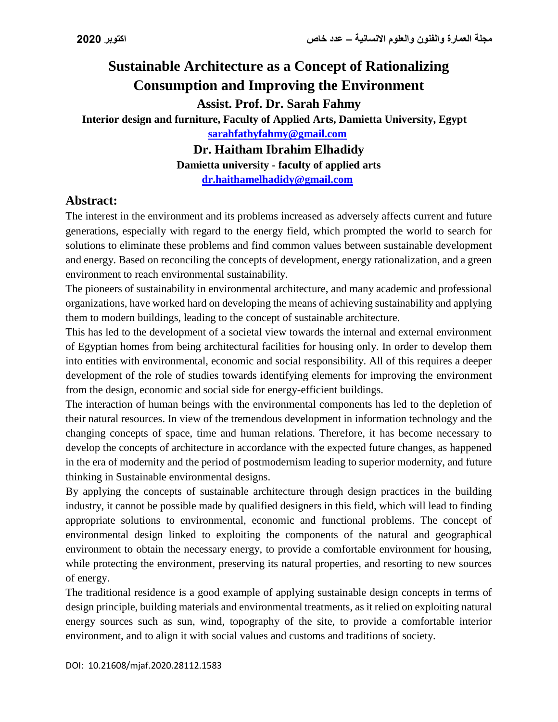# **Sustainable Architecture as a Concept of Rationalizing Consumption and Improving the Environment Assist. Prof. Dr. Sarah Fahmy Interior design and furniture, Faculty of Applied Arts, Damietta University, Egypt [sarahfathyfahmy@gmail.com](mailto:sarahfathyfahmy@gmail.com) Dr. Haitham Ibrahim Elhadidy**

**Damietta university - faculty of applied arts [dr.haithamelhadidy@gmail.com](mailto:dr.haithamelhadidy@gmail.com)**

## **Abstract:**

The interest in the environment and its problems increased as adversely affects current and future generations, especially with regard to the energy field, which prompted the world to search for solutions to eliminate these problems and find common values between sustainable development and energy. Based on reconciling the concepts of development, energy rationalization, and a green environment to reach environmental sustainability.

The pioneers of sustainability in environmental architecture, and many academic and professional organizations, have worked hard on developing the means of achieving sustainability and applying them to modern buildings, leading to the concept of sustainable architecture.

This has led to the development of a societal view towards the internal and external environment of Egyptian homes from being architectural facilities for housing only. In order to develop them into entities with environmental, economic and social responsibility. All of this requires a deeper development of the role of studies towards identifying elements for improving the environment from the design, economic and social side for energy-efficient buildings.

The interaction of human beings with the environmental components has led to the depletion of their natural resources. In view of the tremendous development in information technology and the changing concepts of space, time and human relations. Therefore, it has become necessary to develop the concepts of architecture in accordance with the expected future changes, as happened in the era of modernity and the period of postmodernism leading to superior modernity, and future thinking in Sustainable environmental designs.

By applying the concepts of sustainable architecture through design practices in the building industry, it cannot be possible made by qualified designers in this field, which will lead to finding appropriate solutions to environmental, economic and functional problems. The concept of environmental design linked to exploiting the components of the natural and geographical environment to obtain the necessary energy, to provide a comfortable environment for housing, while protecting the environment, preserving its natural properties, and resorting to new sources of energy.

The traditional residence is a good example of applying sustainable design concepts in terms of design principle, building materials and environmental treatments, as it relied on exploiting natural energy sources such as sun, wind, topography of the site, to provide a comfortable interior environment, and to align it with social values and customs and traditions of society.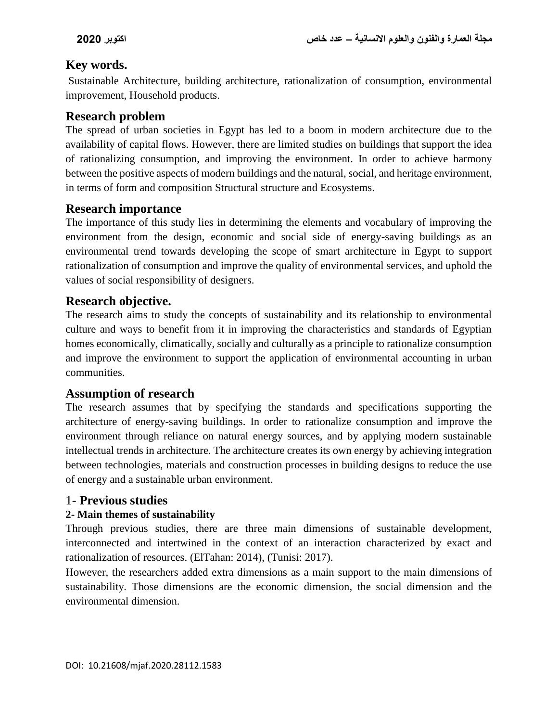# **Key words.**

Sustainable Architecture, building architecture, rationalization of consumption, environmental improvement, Household products.

# **Research problem**

The spread of urban societies in Egypt has led to a boom in modern architecture due to the availability of capital flows. However, there are limited studies on buildings that support the idea of rationalizing consumption, and improving the environment. In order to achieve harmony between the positive aspects of modern buildings and the natural, social, and heritage environment, in terms of form and composition Structural structure and Ecosystems.

# **Research importance**

The importance of this study lies in determining the elements and vocabulary of improving the environment from the design, economic and social side of energy-saving buildings as an environmental trend towards developing the scope of smart architecture in Egypt to support rationalization of consumption and improve the quality of environmental services, and uphold the values of social responsibility of designers.

# **Research objective.**

The research aims to study the concepts of sustainability and its relationship to environmental culture and ways to benefit from it in improving the characteristics and standards of Egyptian homes economically, climatically, socially and culturally as a principle to rationalize consumption and improve the environment to support the application of environmental accounting in urban communities.

# **Assumption of research**

The research assumes that by specifying the standards and specifications supporting the architecture of energy-saving buildings. In order to rationalize consumption and improve the environment through reliance on natural energy sources, and by applying modern sustainable intellectual trends in architecture. The architecture creates its own energy by achieving integration between technologies, materials and construction processes in building designs to reduce the use of energy and a sustainable urban environment.

# 1- **Previous studies**

# **2- Main themes of sustainability**

Through previous studies, there are three main dimensions of sustainable development, interconnected and intertwined in the context of an interaction characterized by exact and rationalization of resources. (ElTahan: 2014), (Tunisi: 2017).

However, the researchers added extra dimensions as a main support to the main dimensions of sustainability. Those dimensions are the economic dimension, the social dimension and the environmental dimension.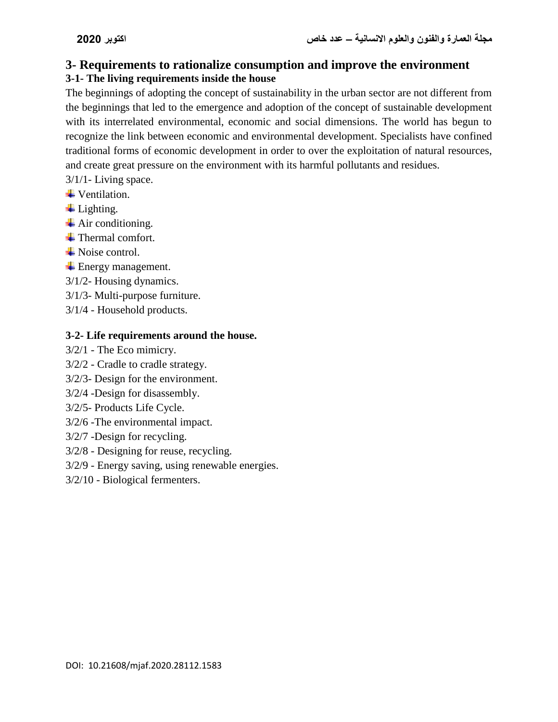# **3- Requirements to rationalize consumption and improve the environment**

# **3-1- The living requirements inside the house**

The beginnings of adopting the concept of sustainability in the urban sector are not different from the beginnings that led to the emergence and adoption of the concept of sustainable development with its interrelated environmental, economic and social dimensions. The world has begun to recognize the link between economic and environmental development. Specialists have confined traditional forms of economic development in order to over the exploitation of natural resources, and create great pressure on the environment with its harmful pollutants and residues.

- 3/1/1- Living space.
- **↓** Ventilation.
- $\overline{\phantom{a}}$  Lighting.
- $\overline{\phantom{a}}$  Air conditioning.
- $\pm$  Thermal comfort.
- **Exercise** Noise control.
- **Energy management.**
- 3/1/2- Housing dynamics.
- 3/1/3- Multi-purpose furniture.
- 3/1/4 Household products.

#### **3-2- Life requirements around the house.**

- 3/2/1 The Eco mimicry.
- 3/2/2 Cradle to cradle strategy.
- 3/2/3- Design for the environment.
- 3/2/4 -Design for disassembly.
- 3/2/5- Products Life Cycle.
- 3/2/6 -The environmental impact.
- 3/2/7 -Design for recycling.
- 3/2/8 Designing for reuse, recycling.
- 3/2/9 Energy saving, using renewable energies.
- 3/2/10 Biological fermenters.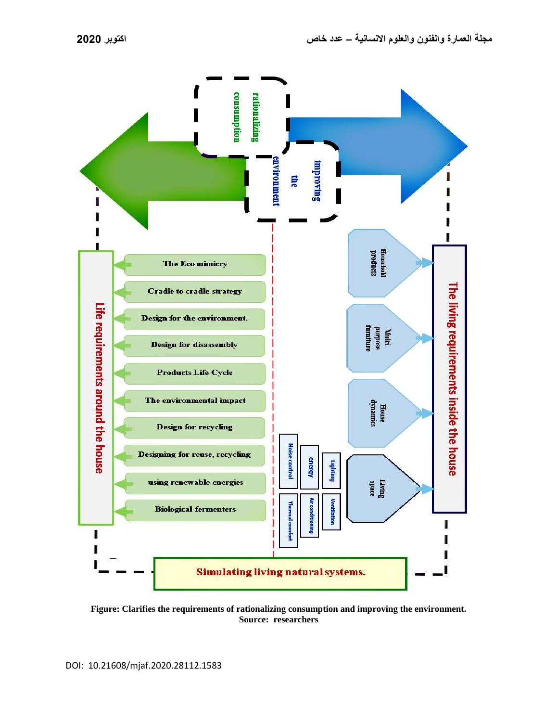

**Figure: Clarifies the requirements of rationalizing consumption and improving the environment. Source: researchers**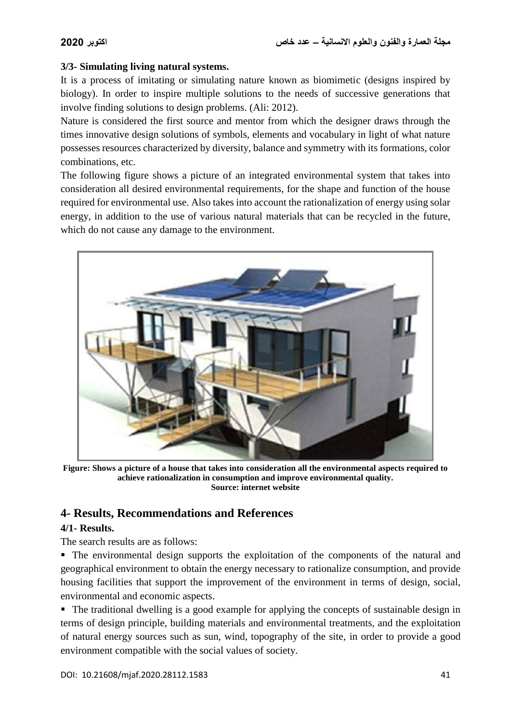#### **3/3- Simulating living natural systems.**

It is a process of imitating or simulating nature known as biomimetic (designs inspired by biology). In order to inspire multiple solutions to the needs of successive generations that involve finding solutions to design problems. (Ali: 2012).

Nature is considered the first source and mentor from which the designer draws through the times innovative design solutions of symbols, elements and vocabulary in light of what nature possesses resources characterized by diversity, balance and symmetry with its formations, color combinations, etc.

The following figure shows a picture of an integrated environmental system that takes into consideration all desired environmental requirements, for the shape and function of the house required for environmental use. Also takes into account the rationalization of energy using solar energy, in addition to the use of various natural materials that can be recycled in the future, which do not cause any damage to the environment.



**Figure: Shows a picture of a house that takes into consideration all the environmental aspects required to achieve rationalization in consumption and improve environmental quality. Source: internet website** 

# **4- Results, Recommendations and References**

#### **4/1- Results.**

The search results are as follows:

 The environmental design supports the exploitation of the components of the natural and geographical environment to obtain the energy necessary to rationalize consumption, and provide housing facilities that support the improvement of the environment in terms of design, social, environmental and economic aspects.

• The traditional dwelling is a good example for applying the concepts of sustainable design in terms of design principle, building materials and environmental treatments, and the exploitation of natural energy sources such as sun, wind, topography of the site, in order to provide a good environment compatible with the social values of society.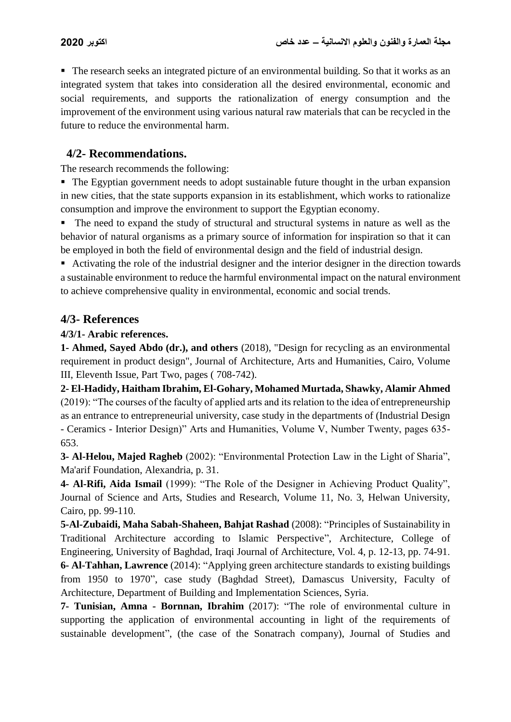The research seeks an integrated picture of an environmental building. So that it works as an integrated system that takes into consideration all the desired environmental, economic and social requirements, and supports the rationalization of energy consumption and the improvement of the environment using various natural raw materials that can be recycled in the future to reduce the environmental harm.

## **4/2- Recommendations.**

The research recommends the following:

• The Egyptian government needs to adopt sustainable future thought in the urban expansion in new cities, that the state supports expansion in its establishment, which works to rationalize consumption and improve the environment to support the Egyptian economy.

 The need to expand the study of structural and structural systems in nature as well as the behavior of natural organisms as a primary source of information for inspiration so that it can be employed in both the field of environmental design and the field of industrial design.

 Activating the role of the industrial designer and the interior designer in the direction towards a sustainable environment to reduce the harmful environmental impact on the natural environment to achieve comprehensive quality in environmental, economic and social trends.

### **4/3- References**

#### **4/3/1- Arabic references.**

**1- Ahmed, Sayed Abdo (dr.), and others** (2018), "Design for recycling as an environmental requirement in product design", Journal of Architecture, Arts and Humanities, Cairo, Volume III, Eleventh Issue, Part Two, pages ( 708-742).

**2- El-Hadidy, Haitham Ibrahim, El-Gohary, Mohamed Murtada, Shawky, Alamir Ahmed** (2019): "The courses of the faculty of applied arts and its relation to the idea of entrepreneurship as an entrance to entrepreneurial university, case study in the departments of (Industrial Design - Ceramics - Interior Design)" Arts and Humanities, Volume V, Number Twenty, pages 635- 653.

**3- Al-Helou, Majed Ragheb** (2002): "Environmental Protection Law in the Light of Sharia", Ma'arif Foundation, Alexandria, p. 31.

**4- Al-Rifi, Aida Ismail** (1999): "The Role of the Designer in Achieving Product Quality", Journal of Science and Arts, Studies and Research, Volume 11, No. 3, Helwan University, Cairo, pp. 99-110.

**5-Al-Zubaidi, Maha Sabah-Shaheen, Bahjat Rashad** (2008): "Principles of Sustainability in Traditional Architecture according to Islamic Perspective", Architecture, College of Engineering, University of Baghdad, Iraqi Journal of Architecture, Vol. 4, p. 12-13, pp. 74-91. **6- Al-Tahhan, Lawrence** (2014): "Applying green architecture standards to existing buildings from 1950 to 1970", case study (Baghdad Street), Damascus University, Faculty of Architecture, Department of Building and Implementation Sciences, Syria.

**7- Tunisian, Amna - Bornnan, Ibrahim** (2017): "The role of environmental culture in supporting the application of environmental accounting in light of the requirements of sustainable development", (the case of the Sonatrach company), Journal of Studies and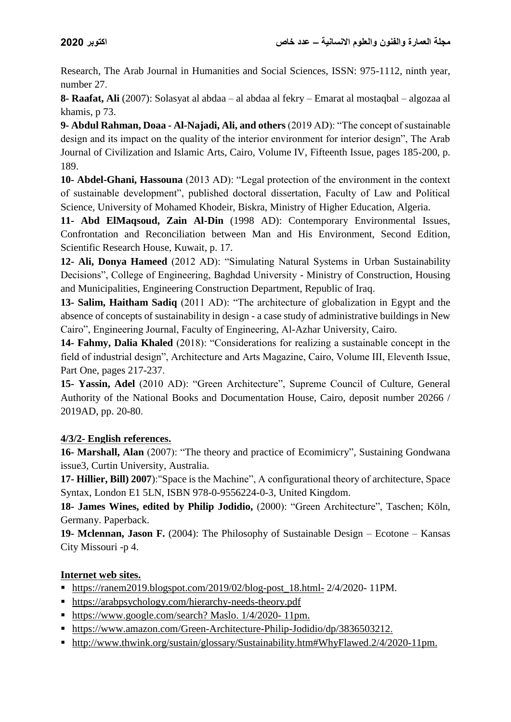Research, The Arab Journal in Humanities and Social Sciences, ISSN: 975-1112, ninth year, number 27.

**8- Raafat, Ali** (2007): Solasyat al abdaa – al abdaa al fekry – Emarat al mostaqbal – algozaa al khamis, p 73.

**9- Abdul Rahman, Doaa - Al-Najadi, Ali, and others** (2019 AD): "The concept of sustainable design and its impact on the quality of the interior environment for interior design", The Arab Journal of Civilization and Islamic Arts, Cairo, Volume IV, Fifteenth Issue, pages 185-200, p. 189.

**10- Abdel-Ghani, Hassouna** (2013 AD): "Legal protection of the environment in the context of sustainable development", published doctoral dissertation, Faculty of Law and Political Science, University of Mohamed Khodeir, Biskra, Ministry of Higher Education, Algeria.

**11- Abd ElMaqsoud, Zain Al-Din** (1998 AD): Contemporary Environmental Issues, Confrontation and Reconciliation between Man and His Environment, Second Edition, Scientific Research House, Kuwait, p. 17.

**12- Ali, Donya Hameed** (2012 AD): "Simulating Natural Systems in Urban Sustainability Decisions", College of Engineering, Baghdad University - Ministry of Construction, Housing and Municipalities, Engineering Construction Department, Republic of Iraq.

**13- Salim, Haitham Sadiq** (2011 AD): "The architecture of globalization in Egypt and the absence of concepts of sustainability in design - a case study of administrative buildings in New Cairo", Engineering Journal, Faculty of Engineering, Al-Azhar University, Cairo.

**14- Fahmy, Dalia Khaled** (2018): "Considerations for realizing a sustainable concept in the field of industrial design", Architecture and Arts Magazine, Cairo, Volume III, Eleventh Issue, Part One, pages 217-237.

**15- Yassin, Adel** (2010 AD): "Green Architecture", Supreme Council of Culture, General Authority of the National Books and Documentation House, Cairo, deposit number 20266 / 2019AD, pp. 20-80.

# **4/3/2- English references.**

**16- Marshall, Alan** (2007): "The theory and practice of Ecomimicry", Sustaining Gondwana issue3, Curtin University, Australia.

**17- Hillier, Bill) 2007**):"Space is the Machine", A configurational theory of architecture, Space Syntax, London E1 5LN, ISBN 978-0-9556224-0-3, United Kingdom.

**18- James Wines, edited by Philip Jodidio,** (2000): "Green Architecture", Taschen; Köln, Germany. Paperback.

**19- Mclennan, Jason F.** (2004): The Philosophy of Sustainable Design – Ecotone – Kansas City Missouri -p 4.

### **Internet web sites.**

- $\blacksquare$  [https://ranem2019.blogspot.com/2019/02/blog-post\\_18.html-](https://ranem2019.blogspot.com/2019/02/blog-post_18.html-) 2/4/2020- 11PM.
- <https://arabpsychology.com/hierarchy-needs-theory.pdf>
- [https://www.google.com/search?](https://www.google.com/search?q=%D9%87%D8%B1%D9%85+%D9%85%D8%A7%D8%B3%D9%84%D9%88+%D8%A7%D9%84%D8%AC%D8%AF%D9%8A%D8%AF&sxsrf) Maslo. 1/4/2020- 11pm.
- [https://www.amazon.com/Green-Architecture-Philip-Jodidio/dp/3836503212.](https://www.amazon.com/Green-Architecture-Philip-Jodidio/dp/3836503212)
- [http://www.thwink.org/sustain/glossary/Sustainability.htm#WhyFlawed.](http://www.thwink.org/sustain/glossary/Sustainability.htm#WhyFlawed)2/4/2020-11pm.